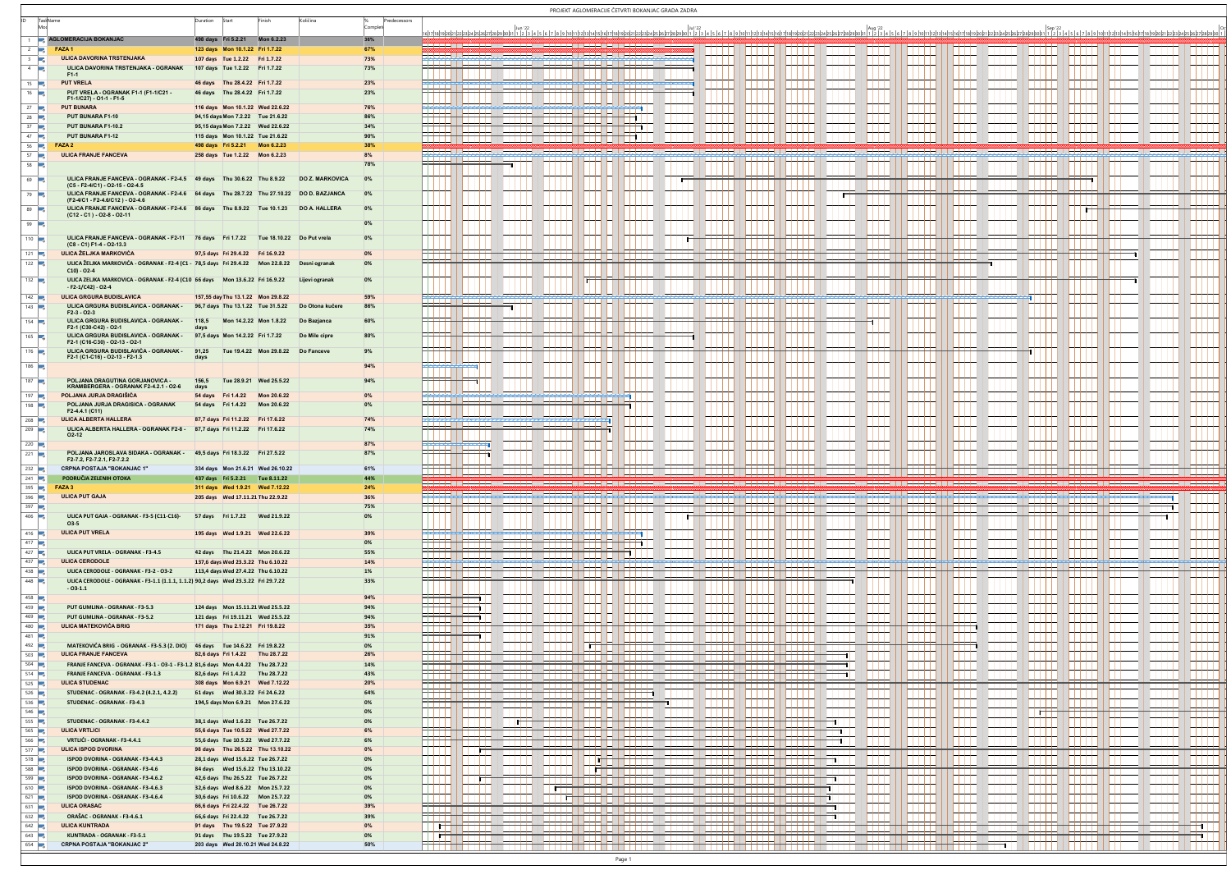|                                            |                                                                                                                            |                     |                                                                  |                                                                       |                                                   |                        |     |                 |                                                   |             |         | PROJEKT AGLOMERACIJE ČETVRTI BOKANJAC GRADA ZADRA                                                                                                                                                                         |   |                |                                |                     |      |                                                 |                |                     |                |                               |                       |                     |                     |
|--------------------------------------------|----------------------------------------------------------------------------------------------------------------------------|---------------------|------------------------------------------------------------------|-----------------------------------------------------------------------|---------------------------------------------------|------------------------|-----|-----------------|---------------------------------------------------|-------------|---------|---------------------------------------------------------------------------------------------------------------------------------------------------------------------------------------------------------------------------|---|----------------|--------------------------------|---------------------|------|-------------------------------------------------|----------------|---------------------|----------------|-------------------------------|-----------------------|---------------------|---------------------|
|                                            | TaskName                                                                                                                   | Duration            | Start                                                            |                                                                       | Količina                                          | Predecessors<br>Compli |     |                 |                                                   |             |         |                                                                                                                                                                                                                           |   |                |                                |                     |      |                                                 |                |                     |                |                               |                       |                     |                     |
|                                            | AGLOMERACIJA BOKANJAC                                                                                                      | 498 days Fri 5.2.21 |                                                                  | Mon 6.2.23                                                            |                                                   | 36%                    |     |                 |                                                   |             |         |                                                                                                                                                                                                                           |   |                |                                |                     |      |                                                 |                |                     |                |                               |                       |                     |                     |
| <b>Allen</b>                               | $2 \frac{1}{2}$ FAZA1<br><b>ULICA DAVORINA TRSTENJAKA</b>                                                                  |                     | 123 days  Mon 10.1.22  Fri 1.7.22                                |                                                                       |                                                   | 67%<br>73%             |     |                 |                                                   |             |         |                                                                                                                                                                                                                           |   |                |                                |                     |      |                                                 |                |                     |                |                               |                       |                     |                     |
|                                            | ULICA DAVORINA TRSTENJAKA - OGRANAK                                                                                        |                     | 107 days Tue 1.2.22 Fri 1.7.22<br>107 days Tue 1.2.22 Fri 1.7.22 |                                                                       |                                                   | 73%                    |     |                 |                                                   |             |         |                                                                                                                                                                                                                           |   |                |                                |                     |      |                                                 |                |                     |                |                               |                       |                     |                     |
| $15$ $\rightarrow$                         | F1-1<br><b>PUT VRELA</b>                                                                                                   |                     | 46 days Thu 28.4.22 Fri 1.7.22                                   |                                                                       |                                                   | 23%                    |     |                 |                                                   |             |         |                                                                                                                                                                                                                           |   |                |                                |                     |      | .                                               |                | $\blacksquare$      |                | $\blacksquare$                | .                     | .                   | .                   |
| $16$ $\rightarrow$                         | PUT VRELA - OGRANAK F1-1 (F1-1/C21 -<br>F1-1/C27) - O1-1 - F1-5                                                            |                     | 46 days Thu 28.4.22 Fri 1.7.22                                   |                                                                       |                                                   | 23%                    |     |                 |                                                   |             |         |                                                                                                                                                                                                                           |   |                |                                |                     |      |                                                 |                |                     |                |                               |                       |                     |                     |
| $27$ $\rightarrow$                         | <b>PUT BUNARA</b>                                                                                                          |                     | 116 days  Mon 10.1.22  Wed 22.6.22                               |                                                                       |                                                   | <b>76%</b>             |     |                 |                                                   |             |         | m                                                                                                                                                                                                                         |   |                |                                |                     |      | $\blacksquare$                                  |                |                     |                | $\mathbf{H}$                  |                       | .                   |                     |
| 28 $\Box$<br>37                            | PUT BUNARA F1-10<br>PUT BUNARA F1-10.2                                                                                     |                     | 94,15 days Mon 7.2.22 Tue 21.6.22                                | 95,15 days Mon 7.2.22 Wed 22.6.22                                     |                                                   | 86%<br>34%             |     |                 |                                                   | <u>нн н</u> |         |                                                                                                                                                                                                                           |   | .              |                                | 11 L L              |      | $\mathbf{1}$                                    |                | $\blacksquare$      | $\blacksquare$ | .                             | .                     | .                   | .                   |
| 47                                         | PUT BUNARA F1-12                                                                                                           |                     |                                                                  | 115 days  Mon 10.1.22  Tue 21.6.22                                    |                                                   | 90%                    |     |                 | , <u>Lielen III (Lielen III elektronicke</u> ) (  |             |         | ᠇                                                                                                                                                                                                                         |   | .              |                                | .                   | --   | $\mathbf{1}$<br>$\blacksquare$                  |                |                     | $\blacksquare$ | <b>1111</b><br>$\blacksquare$ | .<br>.                | .                   | .<br>$\blacksquare$ |
| $56$ $\rightarrow$<br>57                   | FAZA 2<br>ULICA FRANJE FANCEVA                                                                                             |                     | 498 days Fri 5.2.21 Mon 6.2.23<br>258 days Tue 1.2.22 Mon 6.2.23 |                                                                       |                                                   | 38%<br>8%              |     |                 |                                                   |             |         |                                                                                                                                                                                                                           |   |                |                                |                     |      |                                                 |                |                     |                |                               |                       |                     |                     |
| 58 <b>B</b>                                |                                                                                                                            |                     |                                                                  |                                                                       |                                                   | 78%                    |     |                 |                                                   |             |         |                                                                                                                                                                                                                           |   |                |                                |                     |      |                                                 |                |                     |                |                               |                       |                     |                     |
| $69$ $\Box$                                | ULICA FRANJE FANCEVA - OGRANAK - F2-4.5 49 days Thu 30.6.22 Thu 8.9.22                                                     |                     |                                                                  |                                                                       | DO Ž. MARKOVIĆA                                   | 0%                     |     |                 |                                                   |             |         |                                                                                                                                                                                                                           |   |                |                                |                     |      |                                                 |                |                     |                |                               |                       |                     |                     |
| 79                                         | (C5 - F2-4/C1) - O2-15 - O2-4.5<br>ULICA FRANJE FANCEVA - OGRANAK - F2-4.6 64 days Thu 28.7.22 Thu 27.10.22 DO D. BAZJANCA |                     |                                                                  |                                                                       |                                                   | 0%                     |     |                 |                                                   |             |         |                                                                                                                                                                                                                           |   |                |                                |                     |      |                                                 |                |                     |                |                               |                       |                     |                     |
| 89 5                                       | (F2-4/C1 - F2-4.6/C12) - O2-4.6<br>ULICA FRANJE FANCEVA - OGRANAK - F2-4.6 86 days Thu 8.9.22 Tue 10.1.23                  |                     |                                                                  |                                                                       | DO A. HALLERA                                     | 0%                     |     |                 |                                                   |             |         |                                                                                                                                                                                                                           |   |                |                                |                     |      |                                                 |                |                     |                |                               |                       |                     |                     |
|                                            | $(C12 - C1) - O2 - 8 - O2 - 11$                                                                                            |                     |                                                                  |                                                                       |                                                   |                        |     |                 |                                                   |             |         |                                                                                                                                                                                                                           |   |                |                                |                     |      |                                                 |                |                     |                |                               |                       |                     |                     |
| 99                                         |                                                                                                                            |                     |                                                                  |                                                                       |                                                   | $0\%$                  |     |                 |                                                   |             |         |                                                                                                                                                                                                                           |   |                |                                |                     |      |                                                 |                |                     |                |                               |                       |                     |                     |
| $110$ $\frac{1}{2}$                        | ULICA FRANJE FANCEVA - OGRANAK - F2-11 76 days Fri 1.7.22 Tue 18.10.22 Do Put vrela<br>(C8 - C1) F1-4 - O2-13.3            |                     |                                                                  |                                                                       |                                                   | 0%                     |     |                 |                                                   |             |         |                                                                                                                                                                                                                           |   |                |                                |                     |      |                                                 |                |                     |                |                               |                       |                     |                     |
| $121$ $\rightarrow$<br>$122$ $\rightarrow$ | ULICA ŽELJKA MARKOVIĆA<br>ULICA ŽELJKA MARKOVIĆA - OGRANAK - F2-4 (C1 - 78,5 days Fri 29.4.22 Mon 22.8.22                  |                     | 97,5 days Fri 29.4.22 Fri 16.9.22                                |                                                                       | Desni ogranal                                     | 0%<br>0%               |     |                 |                                                   |             |         |                                                                                                                                                                                                                           |   |                |                                |                     |      |                                                 |                |                     |                |                               |                       | $\blacksquare$      |                     |
|                                            | $C10) - O2-4$                                                                                                              |                     |                                                                  |                                                                       |                                                   |                        |     |                 |                                                   |             |         |                                                                                                                                                                                                                           |   |                |                                |                     |      |                                                 |                |                     |                |                               |                       |                     |                     |
| 132                                        | ULICA ŽELJKA MARKOVIĆA - OGRANAK - F2-4 (C10 66 days Mon 13.6.22 Fri 16.9.22<br>$- F2-1/C42$ ) - O2-4                      |                     |                                                                  |                                                                       | Lijevi ogranak                                    | 0%                     |     |                 |                                                   |             |         |                                                                                                                                                                                                                           |   |                |                                |                     |      |                                                 |                |                     |                |                               |                       |                     |                     |
| $142$ $\rightarrow$                        | ULICA GRGURA BUDISLAVIĆA<br>ULICA GRGURA BUDISLAVIĆA - OGRANAK -                                                           |                     |                                                                  | 157,55 day Thu 13.1.22 Mon 29.8.22                                    |                                                   | 59%                    |     |                 |                                                   |             |         |                                                                                                                                                                                                                           |   |                |                                |                     |      |                                                 |                |                     | ÷L L           | .                             | .                     |                     | .                   |
| 143                                        | $F2-3 - O2-3$                                                                                                              |                     |                                                                  |                                                                       | 96,7 days Thu 13.1.22 Tue 31.5.22 Do Otona kučere | 86%                    |     |                 |                                                   |             |         |                                                                                                                                                                                                                           |   |                |                                |                     |      |                                                 |                |                     |                |                               |                       |                     |                     |
| $154$ $\rightarrow$                        | ULICA GRGURA BUDISLAVIĆA - OGRANAK -<br>F2-1 (C30-C42) - O2-1                                                              | 118,5<br>days       |                                                                  | Mon 14.2.22 Mon 1.8.22                                                | Do Bazjanca                                       | 60%                    |     |                 |                                                   |             |         |                                                                                                                                                                                                                           |   |                |                                |                     |      |                                                 |                |                     |                |                               |                       |                     |                     |
| 165 $\overline{a}$                         | ULICA GRGURA BUDISLAVIĆA - OGRANAK -<br>F2-1 (C16-C30) - O2-13 - O2-1                                                      |                     | 97,5 days Mon 14.2.22 Fri 1.7.22                                 |                                                                       | Do Mile cipre                                     | 80%                    |     |                 |                                                   |             |         |                                                                                                                                                                                                                           |   |                |                                |                     |      |                                                 |                |                     |                |                               |                       |                     |                     |
| 176                                        | ULICA GRGURA BUDISLAVIĆA - OGRANAK -<br>F2-1 (C1-C16) - O2-13 - F2-1.3                                                     | 91,25<br>days       |                                                                  | Tue 19.4.22 Mon 29.8.22 Do Fanceve                                    |                                                   | 9%                     |     |                 |                                                   |             |         |                                                                                                                                                                                                                           |   |                |                                |                     |      |                                                 |                |                     |                |                               |                       |                     |                     |
| 186                                        |                                                                                                                            |                     |                                                                  |                                                                       |                                                   | 94%                    |     |                 |                                                   |             |         |                                                                                                                                                                                                                           |   |                |                                |                     |      |                                                 |                |                     |                |                               |                       |                     |                     |
| $187$ $\blacksquare$                       | POLJANA DRAGUTINA GORJANOVIĆA -<br>KRAMBERGERA - OGRANAK F2-4.2.1 - O2-6                                                   | 156,5<br>days       |                                                                  | Tue 28.9.21 Wed 25.5.22                                               |                                                   | 94%                    |     |                 |                                                   |             |         |                                                                                                                                                                                                                           |   |                |                                |                     |      |                                                 |                |                     |                |                               |                       |                     |                     |
| $197$ $\frac{1}{2}$                        | POLJANA JURJA DRAGIŠIĆA                                                                                                    |                     | 54 days Fri 1.4.22 Mon 20.6.22                                   |                                                                       |                                                   | 0%                     |     |                 |                                                   |             | ĦТ      |                                                                                                                                                                                                                           |   |                |                                |                     |      | $\blacksquare$                                  |                | .                   |                | .                             |                       | $\blacksquare$      |                     |
| 198 5                                      | POLJANA JURJA DRAGIŠIĆA - OGRANAK<br>F2-4.4.1 (C11)                                                                        |                     |                                                                  | 54 days Fri 1.4.22 Mon 20.6.22                                        |                                                   | 0%                     |     |                 |                                                   |             |         |                                                                                                                                                                                                                           |   |                |                                |                     |      |                                                 |                |                     |                |                               |                       |                     |                     |
| 208 $\Box$                                 | ULICA ALBERTA HALLERA                                                                                                      |                     | 87,7 days Fri 11.2.22 Fri 17.6.22                                |                                                                       |                                                   | 74%                    |     |                 |                                                   |             |         |                                                                                                                                                                                                                           |   | $\blacksquare$ |                                | .                   | - 11 | $\blacksquare$                                  |                | .                   | $\mathbf{1}$   | $\blacksquare$                | .                     |                     | .                   |
| $209$ $\Box$                               | ULICA ALBERTA HALLERA - OGRANAK F2-8 - 87,7 days Fri 11.2.22 Fri 17.6.22<br>02-12                                          |                     |                                                                  |                                                                       |                                                   | 74%                    |     |                 |                                                   |             |         |                                                                                                                                                                                                                           |   |                |                                |                     |      |                                                 |                |                     |                |                               |                       |                     |                     |
| 220<br>$221$ $\frac{1}{2}$                 | POLJANA JAROSLAVA ŠIDAKA - OGRANAK - 49,5 days Fri 18.3.22 Fri 27.5.22                                                     |                     |                                                                  |                                                                       |                                                   | 87%<br>87%             |     | <del>m m</del>  |                                                   |             |         |                                                                                                                                                                                                                           |   |                |                                |                     |      |                                                 |                |                     |                |                               |                       | $\blacksquare$      |                     |
| 232                                        | F2-7.2, F2-7.2.1, F2-7.2.2<br>CRPNA POSTAJA "BOKANJAC 1"                                                                   |                     |                                                                  | 334 days  Mon 21.6.21  Wed 26.10.22                                   |                                                   | 61%                    |     |                 |                                                   |             |         |                                                                                                                                                                                                                           |   |                |                                |                     |      |                                                 |                |                     |                |                               |                       |                     |                     |
| 241 $\Box$                                 | PODRUČIA ZELENIH OTOKA                                                                                                     |                     |                                                                  | 437 days Fri 5.2.21 Tue 8.11.22                                       |                                                   | 44%                    |     |                 |                                                   |             |         |                                                                                                                                                                                                                           |   |                |                                |                     |      | <u>│╟┶╄┶╄┶╄╛</u> ╎╎╎┞┽┷┾┽╾╡╎╟┷╇┷╇┷╉╌╿┊╄┿┷╇┷╇┵┥┈ |                |                     |                |                               | ▏▙▙▙▙▙▊▕▕▟▟▟▟▌▏▐▟▟▟▟▖ |                     |                     |
| 395 3<br>396 3                             | FAZA 3<br><b>ULICA PUT GAJA</b>                                                                                            |                     | 205 days Wed 17.11.21 Thu 22.9.22                                | 311 days Wed 1.9.21 Wed 7.12.22                                       |                                                   | 24%<br>36%             |     |                 |                                                   |             |         |                                                                                                                                                                                                                           |   |                |                                |                     |      |                                                 |                |                     |                |                               |                       |                     |                     |
| 397                                        |                                                                                                                            |                     |                                                                  |                                                                       |                                                   | 75%                    |     |                 |                                                   |             |         |                                                                                                                                                                                                                           | . | .              |                                | .                   |      | .                                               | .              |                     |                | .                             | .                     | प्राप्त             |                     |
| 406 3                                      | ULICA PUT GAJA - OGRANAK - F3-5 (C11-C16)-<br>03-5                                                                         |                     |                                                                  | 57 days Fri 1.7.22 Wed 21.9.22                                        |                                                   | 0%                     |     |                 |                                                   |             |         |                                                                                                                                                                                                                           |   |                |                                |                     |      |                                                 |                |                     |                |                               |                       |                     |                     |
| $416$ $\rightarrow$                        | <b>ULICA PUT VRELA</b>                                                                                                     |                     |                                                                  | 195 days Wed 1.9.21 Wed 22.6.22                                       |                                                   | 39%                    |     |                 |                                                   |             | المنابط |                                                                                                                                                                                                                           |   |                |                                |                     |      | $\blacksquare$                                  |                |                     |                | .                             | .                     | .                   | .                   |
| 417 $\Box$<br>427                          | ULICA PUT VRELA - OGRANAK - F3-4.5                                                                                         |                     |                                                                  | 42 days Thu 21.4.22 Mon 20.6.22                                       |                                                   | 0%<br>55%              |     |                 |                                                   |             |         | m.                                                                                                                                                                                                                        |   |                |                                |                     |      | $\blacksquare$                                  |                |                     |                | .                             |                       | $\blacksquare$      | .                   |
| 437                                        | <b>ULICA CERODOLE</b>                                                                                                      |                     |                                                                  | 137,6 days Wed 23.3.22 Thu 6.10.22                                    |                                                   | 14%                    |     |                 |                                                   |             | − 1     | m m                                                                                                                                                                                                                       |   | $\blacksquare$ |                                | .<br><b>TITL</b>    |      | $\blacksquare$<br>تنتنت                         |                | $\blacksquare$<br>m | --             | $\blacksquare$<br>تتنت        | ,,,,,<br>تتنتن        | .<br>تتنت           | .<br>ŤŤŤ            |
| 438 3                                      | ULICA CERODOLE - OGRANAK - F3-2 - O3-2                                                                                     |                     |                                                                  | 113,4 days Wed 27.4.22 Thu 6.10.22                                    |                                                   | $1\%$                  |     |                 | , <u>Lither, anno , Lither, and</u> D             |             |         | .                                                                                                                                                                                                                         |   | .              |                                | لللليليا            |      |                                                 |                |                     |                |                               |                       |                     |                     |
| 448                                        | ULICA CERODOLE - OGRANAK - F3-1.1 (1.1.1, 1.1.2) 90,2 days  Wed 23.3.22 Fri 29.7.22<br>$-03-1.1$                           |                     |                                                                  |                                                                       |                                                   | 33%                    |     |                 |                                                   |             |         |                                                                                                                                                                                                                           |   |                |                                |                     |      |                                                 |                |                     |                |                               |                       |                     |                     |
| 458<br>459 5                               | PUT GUMLINA - OGRANAK - F3-5.3                                                                                             |                     |                                                                  |                                                                       |                                                   | 94%<br>94%             |     | $\Pi$           |                                                   |             |         |                                                                                                                                                                                                                           |   |                |                                |                     |      | $\blacksquare$                                  |                |                     | --             |                               | ,,,,,                 | $\blacksquare$      | $\blacksquare$      |
| 469 3                                      | PUT GUMLINA - OGRANAK - F3-5.2                                                                                             |                     |                                                                  | 121 days Fri 19.11.21 Wed 25.5.22                                     |                                                   | 94%                    |     | بالتبار<br>ا ات |                                                   |             |         |                                                                                                                                                                                                                           |   |                |                                | $\blacksquare$      |      | $\blacksquare$                                  |                | .                   | .              | --                            | .                     | .                   | $\blacksquare$      |
| 480<br>481                                 | ULICA MATEKOVIĆA BRIG                                                                                                      |                     | 171 days Thu 2.12.21 Fri 19.8.22                                 |                                                                       |                                                   | 35%<br>91%             |     | Ħ۱              |                                                   |             |         |                                                                                                                                                                                                                           |   |                |                                |                     |      | ╥╥<br>$\blacksquare$                            |                | $\blacksquare$<br>. | .<br>.         | ---<br>$\blacksquare$         | .<br>,,,,,            | .<br>$\blacksquare$ | .<br>.              |
| 492 3                                      | MATEKOVIĆA BRIG - OGRANAK - F3-5.3 (2. DIO) 46 days Tue 14.6.22 Fri 19.8.22                                                |                     |                                                                  |                                                                       |                                                   | 0%                     |     |                 |                                                   |             |         |                                                                                                                                                                                                                           |   | <u>mana s</u>  |                                |                     |      |                                                 |                |                     |                | $\blacksquare$                | .                     | $\blacksquare$      |                     |
| 503 $\Box$                                 | ULICA FRANJE FANCEVA<br>FRANJE FANCEVA - OGRANAK - F3-1 - O3-1 - F3-1.2 81,6 days  Mon 4.4.22  Thu 28.7.22                 |                     | 82,6 days Fri 1.4.22 Thu 28.7.22                                 |                                                                       |                                                   | 26%<br>14%             |     |                 |                                                   |             |         |                                                                                                                                                                                                                           |   |                |                                |                     |      |                                                 |                |                     |                |                               |                       |                     |                     |
| $504$ $\rightarrow$<br>$514$ $\rightarrow$ | FRANJE FANCEVA - OGRANAK - F3-1.3                                                                                          |                     |                                                                  | 82,6 days Fri 1.4.22 Thu 28.7.22                                      |                                                   | 43%                    |     |                 |                                                   |             |         | ┼┼┼┼┤│├┼┼┼┼┤ <b>│┌┼┼┼┼┼┤││┼┼┼┼╌││├┼┼┦┌┤│├╌┼┼┼┸│</b> │├┼┼┼┼┦││┼┼┼┼┼│││┼┼╀╀╀││ <b>│</b> ┵╀╀╀╀┦║│┵╀╀╀┸<br>ومحمدتين والمحمول والمحامي والمحامل والواحدان والمحامل والمحامل والمحامل والمحامل                                  |   |                | الأجمع ومستهل                  |                     |      | --                                              |                |                     |                |                               |                       | .                   | .                   |
| 525                                        | <b>ULICA STUDENAC</b>                                                                                                      |                     |                                                                  | 308 days  Mon 6.9.21  Wed 7.12.22                                     |                                                   | 20%                    |     |                 | , 2002 - 1002 2003 1002 2003 2004 2005 2007       |             |         |                                                                                                                                                                                                                           |   |                |                                |                     |      |                                                 |                |                     |                |                               |                       |                     | .                   |
| 526<br>536                                 | STUDENAC - OGRANAK - F3-4.2 (4.2.1, 4.2.2)<br>STUDENAC - OGRANAK - F3-4.3                                                  |                     | 61 days Wed 30.3.22 Fri 24.6.22                                  |                                                                       |                                                   | 64%<br>0%              |     | لطاطا           | <u>socomenco penno penno militari di ritirio </u> |             |         |                                                                                                                                                                                                                           |   |                |                                | .<br>$\blacksquare$ |      | $\blacksquare$<br>$\blacksquare$                |                | .<br>.              |                | .<br><b>.</b>                 | .<br>---              | $\blacksquare$      | .<br>--             |
| 546                                        |                                                                                                                            |                     |                                                                  |                                                                       |                                                   | 0%                     |     |                 |                                                   |             |         |                                                                                                                                                                                                                           |   |                | .                              | .                   |      | $\blacksquare$                                  |                | $\perp$             | $\blacksquare$ | لللبانا                       |                       |                     | لملاطف              |
| 555 <b>B</b><br>565 3                      | STUDENAC - OGRANAK - F3-4.4.2<br>ULICA VRTLIĆI                                                                             |                     |                                                                  | 38,1 days Wed 1.6.22 Tue 26.7.22<br>55,6 days Tue 10.5.22 Wed 27.7.22 |                                                   | 0%<br>6%               |     |                 |                                                   |             |         | <u>││▛▜▜▜▊▊▊▊▊▊▊▊▊▊</u> ▋▊▋▋▊▊▋▊▋▋▋▋▋▋▋▌▋▏▏▏▏▏▏▏▏▏                                                                                                                                                                        |   | .              | in di tanta della contra di su |                     |      | $\mathbf{H}$<br>--                              | .              | .                   | .              | .                             | .                     | ---                 | ---                 |
| 566                                        | VRTLIĆI - OGRANAK - F3-4.4.1                                                                                               |                     |                                                                  | 55,6 days Tue 10.5.22 Wed 27.7.22                                     |                                                   | 6%                     | سست |                 |                                                   |             |         | <u>, sama ya mana ya mana ya mangu ya mana ya mana ya mana ya mana ya mana ya mana ya mana ya mana ya m</u><br><u>isang penganggunan penganggunan penganggunan pengan</u>                                                 |   |                | <u>janan ayyanana ,</u>        | ا اتلتا             | .    | .                                               | $\blacksquare$ | ---                 | .              | .                             | .                     | .                   | .                   |
| 577<br>578 $\Box$                          | <b>ULICA ISPOD DVORINA</b><br>ISPOD DVORINA - OGRANAK - F3-4.4.3                                                           |                     |                                                                  | 98 days Thu 26.5.22 Thu 13.10.22<br>28,1 days Wed 15.6.22 Tue 26.7.22 |                                                   | 0%<br>0%               |     | $\blacksquare$  |                                                   |             |         |                                                                                                                                                                                                                           |   |                |                                |                     |      | $\blacksquare$                                  |                |                     |                | $\blacksquare$                | $\blacksquare$        | $\blacksquare$      |                     |
| 588 <b>电</b>                               | ISPOD DVORINA - OGRANAK - F3-4.6                                                                                           |                     |                                                                  | 84 days Wed 15.6.22 Thu 13.10.22                                      |                                                   | 0%                     |     |                 | .                                                 |             |         | <u>is an agastraanse meers minster makke mee</u><br><u> 1950au - James James James III, metro amerikan (j. 194</u>                                                                                                        |   |                |                                |                     |      |                                                 |                |                     |                | ┷┷┷┷┷                         | ┷┷┷┷┷                 | لمعلمات             | 444                 |
| <b>599 国</b>                               | ISPOD DVORINA - OGRANAK - F3-4.6.2                                                                                         |                     |                                                                  | 42,6 days Thu 26.5.22 Tue 26.7.22                                     |                                                   | 0%                     |     | آلائلا          |                                                   |             |         | كالمورود محمده ووجدهم وورود والمجدد ووجدهم والمجدد ووالمحددة والمنافل                                                                                                                                                     |   |                |                                |                     |      |                                                 |                |                     |                |                               |                       | $\blacksquare$      |                     |
| 610 $\frac{1}{2}$<br>$621$ $\rightarrow$   | ISPOD DVORINA - OGRANAK - F3-4.6.3<br>ISPOD DVORINA - OGRANAK - F3-4.6.4                                                   |                     |                                                                  | 32,6 days Wed 8.6.22 Mon 25.7.22<br>30,6 days Fri 10.6.22 Mon 25.7.22 |                                                   | 0%<br>0%               |     |                 | .                                                 |             |         | <u>Kana ya senya ya sana ya sana ya sana ya sana y</u><br><u> 1944 - John Francis, peter og state i 1999 e</u>                                                                                                            |   |                | أأألس مبارياتي                 | . .                 | --   | $\blacksquare$<br>.                             |                | .                   | ---            | <b>1111</b><br>---            | .<br>.                | ---<br>---          | .<br>---            |
| 631   国                                    | <b>ULICA ORAŠAC</b>                                                                                                        |                     |                                                                  | 66,6 days Fri 22.4.22 Tue 26.7.22                                     |                                                   | 39%                    |     |                 |                                                   |             |         | <u>الإيلاس والمائيل والمنفس والمنفس والمنفس والمنظم والمنفس والمنفس والمنفس والمنفس والمنادي والمنفس والمنفس</u>                                                                                                          |   |                |                                |                     | --   |                                                 |                | .                   | .              | --                            | .                     | --                  | ---                 |
| $632$ $\blacksquare$<br>642 $\overline{5}$ | ORAŠAC - OGRANAK - F3-4.6.1<br><b>ULICA KUNTRADA</b>                                                                       |                     |                                                                  | 66,6 days Fri 22.4.22 Tue 26.7.22<br>91 days Thu 19.5.22 Tue 27.9.22  |                                                   | 39%<br>0%              |     |                 |                                                   |             |         | <u>U-++++ U-++++ U-++++ U-+++ L-++ + U-++++ U-++++ U-++++ U-++++ U-+++++ U-+++++ U-++++</u>                                                                                                                               |   |                |                                |                     | .    | 11 I I I                                        |                |                     | I I I I I      |                               | ---                   | --                  | m۱                  |
| 643                                        | KUNTRADA - OGRANAK - F3-5.1                                                                                                |                     |                                                                  | 91 days Thu 19.5.22 Tue 27.9.22                                       |                                                   | 0%                     |     |                 |                                                   |             |         | ▐ <del>▟▞▞▞</del> ▞▎▌▙╃╃┾┾┥▕▕ <del>▞┽</del> ┽╃┽┥▕▕┽╀┥┝╡╿╞┾╀┽╃┥╿╞┾╄╃╃┥║┝╇╀╄╇┥║┞┽╇╇╇┥╿┝╄╇╄╇┥╿┝╄┿╇┥╢<br><u> Programma gramma gramma da gramma gramma gramma gramma gramma gramma gramma gramma gramma gramma gramma gram</u> |   |                |                                |                     |      | <u> TELEVIŞINDE TELEVIZI TELEVIZI</u>           |                |                     |                | प्रमा                         | <u>пшт</u>            | الملطاط<br>.        | −                   |
| 654 5                                      | <b>CRPNA POSTAJA "BOKANJAC 2"</b>                                                                                          |                     |                                                                  | 203 days Wed 20.10.21 Wed 24.8.22                                     |                                                   | 50%                    |     |                 |                                                   |             |         |                                                                                                                                                                                                                           |   |                |                                |                     |      |                                                 |                |                     |                |                               |                       |                     |                     |